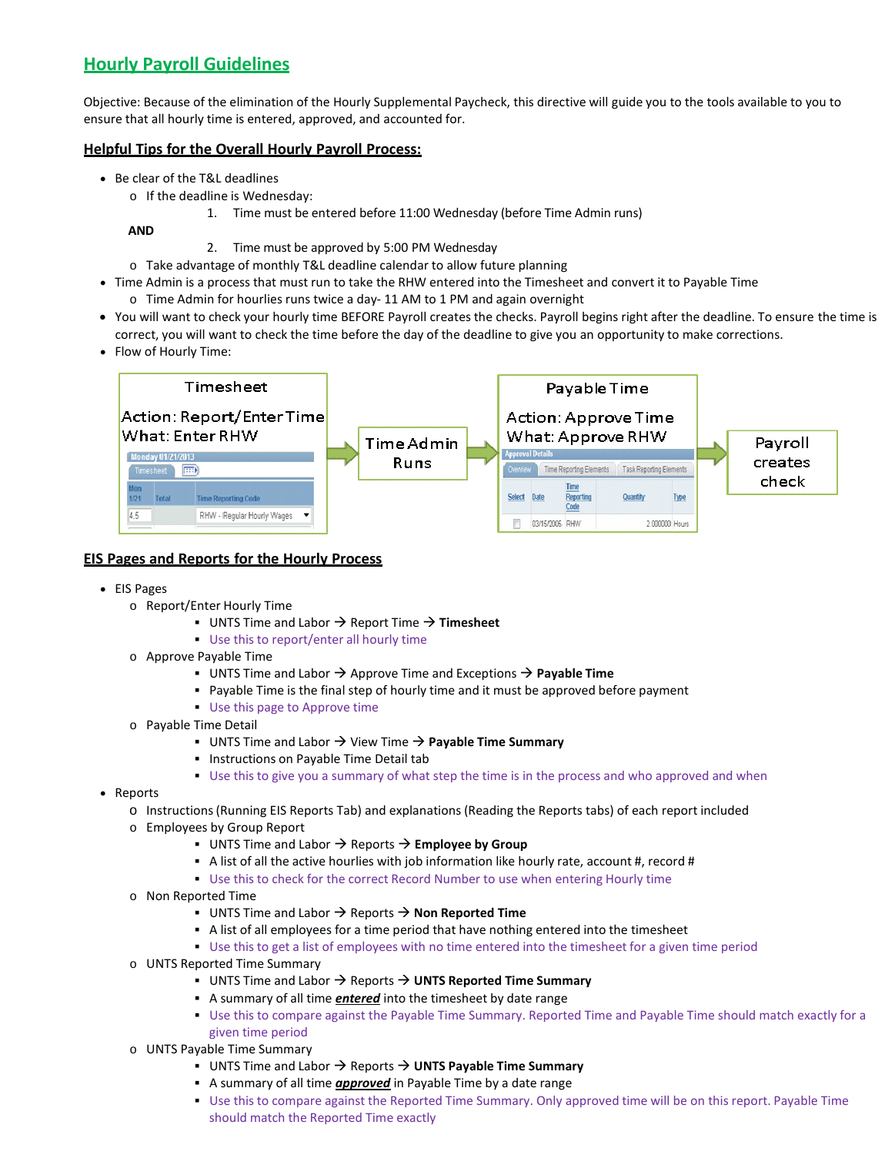## **Hourly Payroll Guidelines**

Objective: Because of the elimination of the Hourly Supplemental Paycheck, this directive will guide you to the tools available to you to ensure that all hourly time is entered, approved, and accounted for.

#### **Helpful Tips for the Overall Hourly Payroll Process:**

- Be clear of the T&L deadlines
	- o If the deadline is Wednesday:
		- 1. Time must be entered before 11:00 Wednesday (before Time Admin runs)

**AND** 

- 2. Time must be approved by 5:00 PM Wednesday
- o Take advantage of monthly T&L deadline calendar to allow future planning
- Time Admin is a process that must run to take the RHW entered into the Timesheet and convert it to Payable Time
	- o Time Admin for hourlies runs twice a day- 11 AM to 1 PM and again overnight
- You will want to check your hourly time BEFORE Payroll creates the checks. Payroll begins right after the deadline. To ensure the time is correct, you will want to check the time before the day of the deadline to give you an opportunity to make corrections.
- Flow of Hourly Time:



#### **EIS Pages and Reports for the Hourly Process**

- EIS Pages
	- o Report/Enter Hourly Time
		- UNTS Time and Labor  $\rightarrow$  Report Time  $\rightarrow$  Timesheet
		- Use this to report/enter all hourly time
	- o Approve Payable Time
		- **UNTS Time and Labor**  $\rightarrow$  **Approve Time and Exceptions**  $\rightarrow$  **Payable Time**
		- Payable Time is the final step of hourly time and it must be approved before payment
		- Use this page to Approve time
	- o Payable Time Detail
		- **UNTS Time and Labor**  $\rightarrow$  **View Time**  $\rightarrow$  **Payable Time Summary**
		- **Instructions on Payable Time Detail tab**
		- Use this to give you a summary of what step the time is in the process and who approved and when
- Reports
	- o Instructions(Running EIS Reports Tab) and explanations (Reading the Reports tabs) of each report included
	- o Employees by Group Report
		- **EXECTE 1** UNTS Time and Labor  $\rightarrow$  Reports  $\rightarrow$  **Employee by Group**
		- A list of all the active hourlies with job information like hourly rate, account #, record #
		- Use this to check for the correct Record Number to use when entering Hourly time
	- o Non Reported Time
		- **UNTS Time and Labor**  $\rightarrow$  **Reports**  $\rightarrow$  **Non Reported Time**
		- A list of all employees for a time period that have nothing entered into the timesheet
		- Use this to get a list of employees with no time entered into the timesheet for a given time period
	- o UNTS Reported Time Summary
		- **UNTS Time and Labor**  $\rightarrow$  **Reports**  $\rightarrow$  **UNTS Reported Time Summary**
		- A summary of all time *entered* into the timesheet by date range
		- Use this to compare against the Payable Time Summary. Reported Time and Payable Time should match exactly for a given time period
	- o UNTS Payable Time Summary
		- **UNTS Time and Labor**  $\rightarrow$  **Reports**  $\rightarrow$  **UNTS Payable Time Summary**
		- A summary of all time *approved* in Payable Time by a date range
		- Use this to compare against the Reported Time Summary. Only approved time will be on this report. Payable Time should match the Reported Time exactly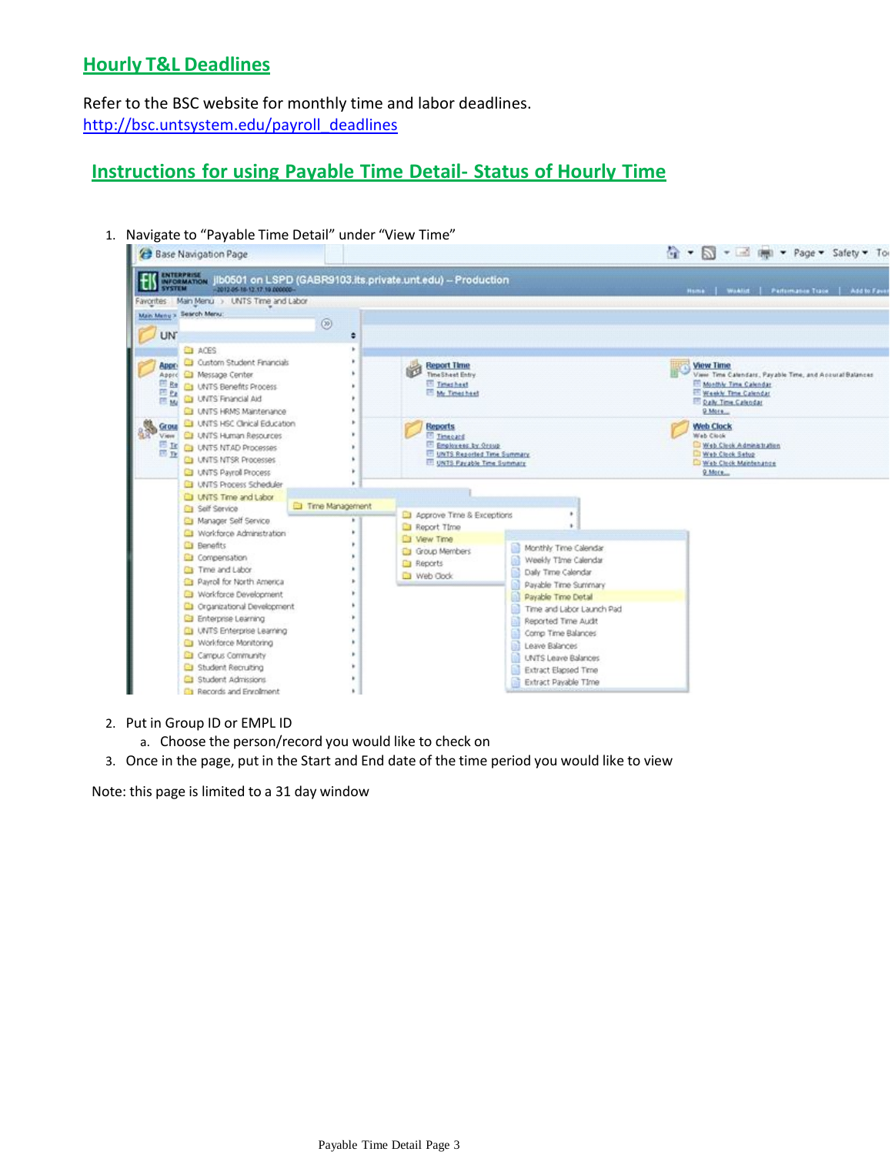## **Hourly T&L Deadlines**

Refer to the BSC website for monthly time and labor deadlines. [http://bsc.untsystem.edu/payroll\\_deadlines](http://bsc.untsystem.edu/payroll_deadlines)

## **Instructions for using Payable Time Detail- Status of Hourly Time**

1. Navigate to "Payable Time Detail" under "View Time"



- 2. Put in Group ID or EMPL ID
	- a. Choose the person/record you would like to check on
- 3. Once in the page, put in the Start and End date of the time period you would like to view

Note: this page is limited to a 31 day window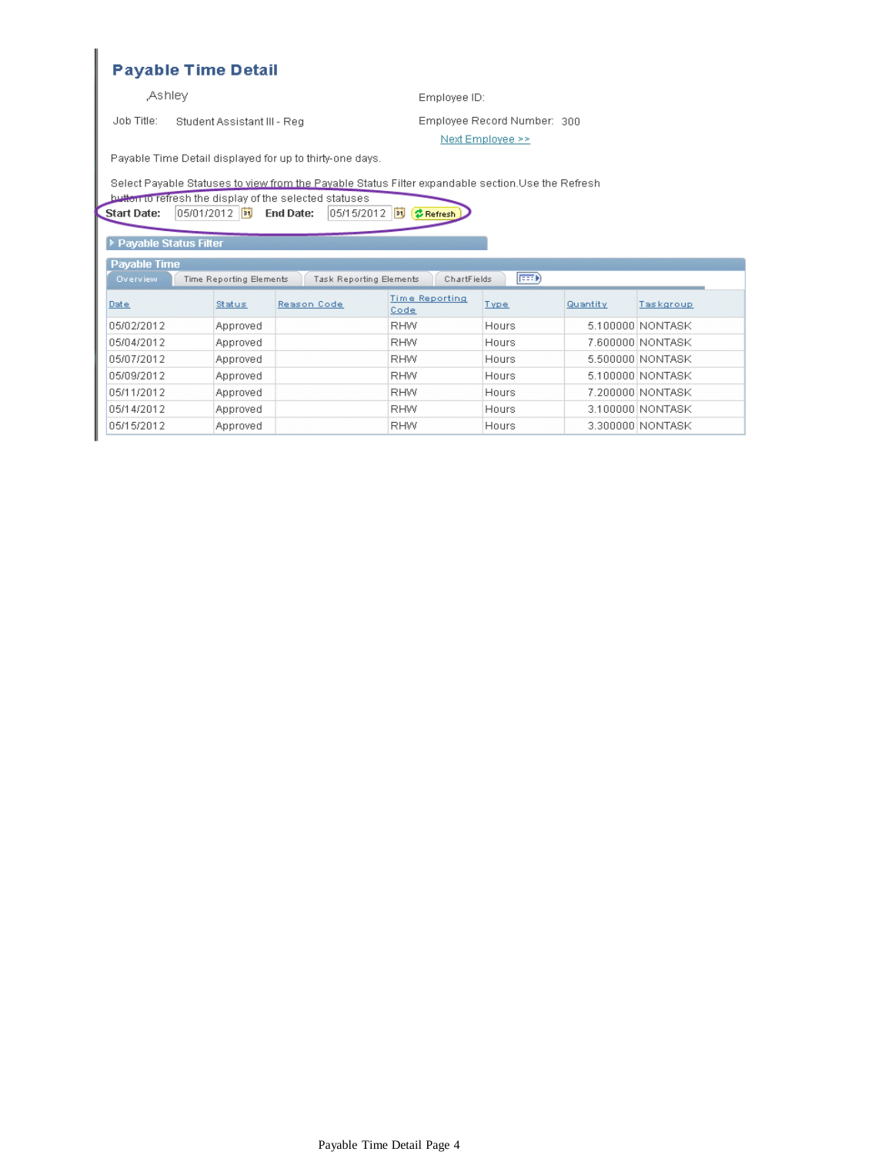## **Payable Time Detail**

#### **Ashley**

Job Title: Student Assistant III - Reg

Employee ID:

Employee Record Number: 300

Next Employee >>

Payable Time Detail displayed for up to thirty-one days.

Select Payable Statuses to view from the Payable Status Filter expandable section. Use the Refresh

button to refresh the display of the selected statuses

### Start Date: 05/01/2012 3 End Date: 05/15/2012 3 2 Refresh

| ▶ Payable Status Filter |                                |             |                                        |              |          |                  |
|-------------------------|--------------------------------|-------------|----------------------------------------|--------------|----------|------------------|
| <b>Payable Time</b>     |                                |             | Task Reporting Elements<br>ChartFields | <b>EED</b>   |          |                  |
| Overview                | <b>Time Reporting Elements</b> |             |                                        |              |          |                  |
| Date                    | Status                         | Reason Code | Time Reporting<br>Code                 | Type         | Quantity | Taskgroup        |
| 05/02/2012              | Approved                       |             | <b>RHW</b>                             | Hours        |          | 5.100000 NONTASK |
| 05/04/2012              | Approved                       |             | <b>RHW</b>                             | <b>Hours</b> |          | 7.600000 NONTASK |
| 05/07/2012              | Approved                       |             | <b>RHW</b>                             | <b>Hours</b> |          | 5 500000 NONTASK |
| 05/09/2012              | Approved                       |             | <b>RHW</b>                             | <b>Hours</b> |          | 5.100000 NONTASK |
| 05/11/2012              | Approved                       |             | <b>RHW</b>                             | <b>Hours</b> |          | 7 200000 NONTASK |
| 05/14/2012              | Approved                       |             | <b>RHW</b>                             | <b>Hours</b> |          | 3.100000 NONTASK |
| 05/15/2012              | Approved                       |             | <b>RHW</b>                             | Hours        |          | 3.300000 NONTASK |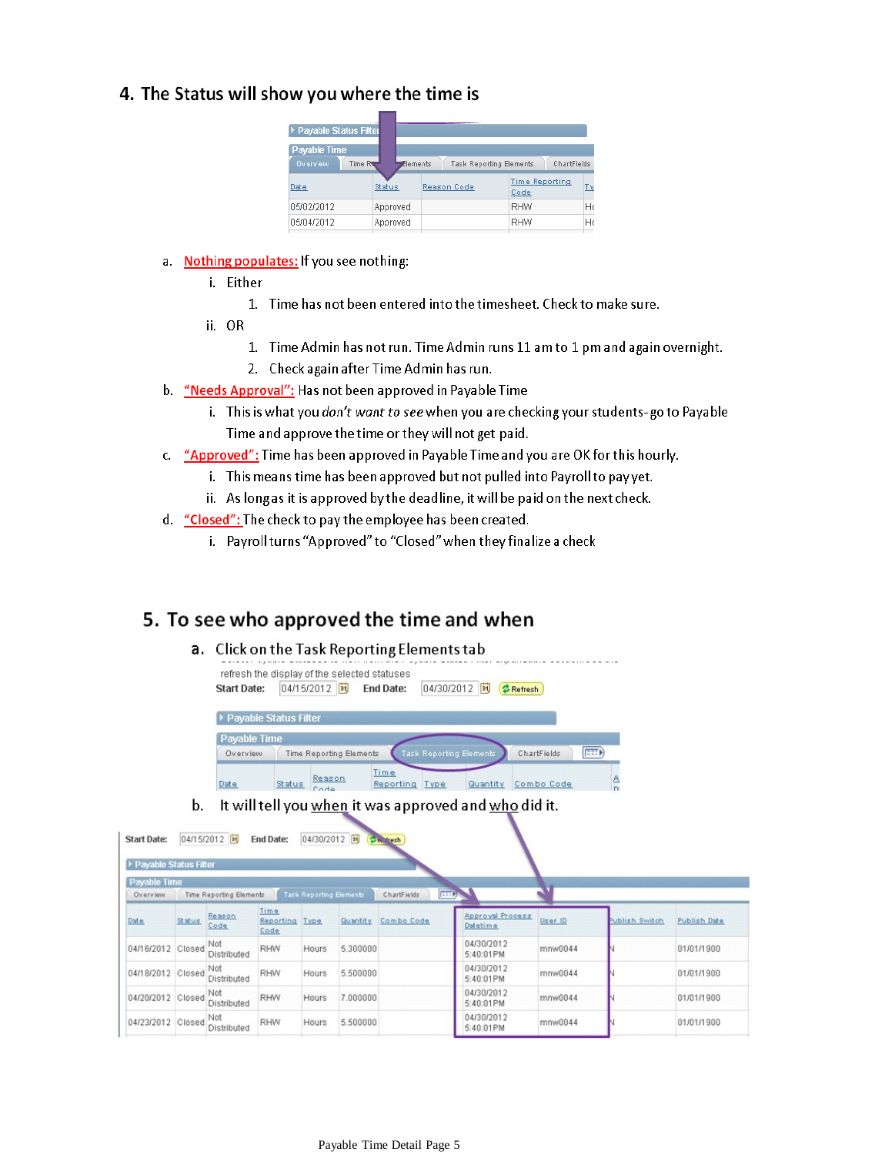### 4. The Status will show you where the time is

| ▶ Payable Status Filter                   |          |                                |                        |    |
|-------------------------------------------|----------|--------------------------------|------------------------|----|
| <b>Payable Time</b><br>Overview<br>Time R | Elements | <b>Task Reporting Elements</b> | ChartFields            |    |
| Date                                      | Status   | Reason Code                    | Time Reporting<br>Code | Τy |
| 05/02/2012                                | Approved |                                | RHW                    | Ho |
| 05/04/2012                                | Approved |                                | RHW                    | Ho |

- a. Nothing populates: If you see nothing:
	- i. Either
		- 1. Time has not been entered into the timesheet. Check to make sure.
	- ii. OR
		- 1. Time Admin has not run. Time Admin runs 11 am to 1 pm and again overnight.
		- 2. Check again after Time Admin has run.
- b. "Needs Approval": Has not been approved in Payable Time
	- i. This is what you don't want to see when you are checking your students-go to Payable Time and approve the time or they will not get paid.
- c. "Approved": Time has been approved in Payable Time and you are OK for this hourly.
	- i. This means time has been approved but not pulled into Payroll to pay yet.
		- ii. As long as it is approved by the deadline, it will be paid on the next check.
- d. "Closed": The check to pay the employee has been created.
	- i. Payroll turns "Approved" to "Closed" when they finalize a check

## 5. To see who approved the time and when

### a. Click on the Task Reporting Elements tab

| <b>Start Date:</b>      | 04/15/2012 31<br><b>End Date:</b> | BU<br>04/30/2012               | 2 Refresh   |      |
|-------------------------|-----------------------------------|--------------------------------|-------------|------|
| ▶ Payable Status Filter |                                   |                                |             |      |
| <b>Pavable Time</b>     |                                   |                                |             |      |
| Overview                | <b>Time Reporting Elements</b>    | <b>Task Reporting Elements</b> | ChartFields | EED) |

b. It will tell you when it was approved and who did it.

| <b>Start Date:</b>      |        | 04/15/2012 31           | <b>End Date:</b>          | 04/30/2012                     |          | <b>Din fresh</b> |                                     |         |                |              |
|-------------------------|--------|-------------------------|---------------------------|--------------------------------|----------|------------------|-------------------------------------|---------|----------------|--------------|
| ▶ Payable Status Filter |        |                         |                           |                                |          |                  |                                     |         |                |              |
| <b>Payable Time</b>     |        |                         |                           |                                |          |                  |                                     |         |                |              |
| Overview                |        | Time Reporting Elements |                           | <b>Task Reporting Elements</b> |          | ChartFields      | <b>EED</b>                          |         |                |              |
| Date                    | Status | Reason<br>Code          | Time<br>Reporting<br>Code | <b>Type</b>                    | Quantity | Combo Code       | Approval Process<br><b>Datetime</b> | User ID | Publish Switch | Publish Date |
| 04/16/2012 Closed       |        | Not<br>Distributed      | <b>RHW</b>                | Hours                          | 5.300000 |                  | 04/30/2012<br>5:40:01PM             | mnw0044 |                | 01/01/1900   |
| 04/18/2012 Closed       |        | Not<br>Distributed      | RHW                       | Hours                          | 5,500000 |                  | 04/30/2012<br>5:40:01PM             | mnw0044 |                | 01/01/1900   |
| 04/20/2012              | Closed | Not<br>Distributed      | <b>RHW</b>                | Hours                          | 7,000000 |                  | 04/30/2012<br>5:40:01 PM            | mnw0044 |                | 01/01/1900   |
| 04/23/2012 Closed       |        | Not<br>Distributed      | <b>RHW</b>                | Hours                          | 5,500000 |                  | 04/30/2012<br>5:40:01PM             | mnw0044 |                | 01/01/1900   |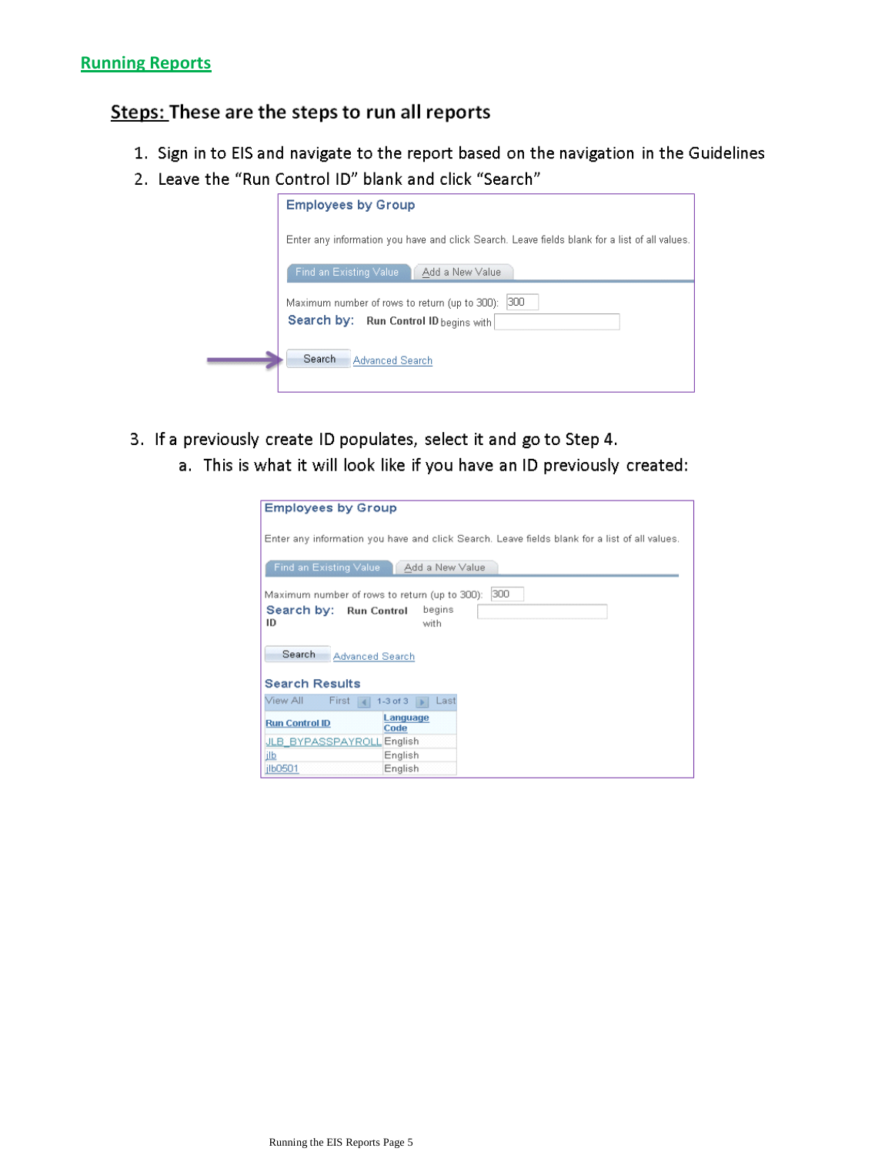## Steps: These are the steps to run all reports

- 1. Sign in to EIS and navigate to the report based on the navigation in the Guidelines
- 2. Leave the "Run Control ID" blank and click "Search"

| <b>Employees by Group</b>                                                                     |
|-----------------------------------------------------------------------------------------------|
| Enter any information you have and click Search. Leave fields blank for a list of all values. |
| Find an Existing Value<br>Add a New Value                                                     |
| 300<br>Maximum number of rows to return (up to 300):<br>Search by: Run Control ID begins with |
| Search<br>Advanced Search                                                                     |

- 3. If a previously create ID populates, select it and go to Step 4.
	- a. This is what it will look like if you have an ID previously created:

| <b>Employees by Group</b>    |                                                                                               |
|------------------------------|-----------------------------------------------------------------------------------------------|
|                              | Enter any information you have and click Search. Leave fields blank for a list of all values. |
|                              | Find an Existing Value   Add a New Value                                                      |
|                              | 300<br>Maximum number of rows to return (up to 300):                                          |
| Search by: Run Control<br>ID | begins<br>with                                                                                |
| Search                       | Advanced Search                                                                               |
| <b>Search Results</b>        |                                                                                               |
| View All<br>First 4          | $1-3$ of $3$<br>Last                                                                          |
| <b>Run Control ID</b>        | Language<br>Code                                                                              |
| JLB BYPASSPAYROLL English    |                                                                                               |
| <u>ilb</u>                   | English                                                                                       |
| jlb0501                      | English                                                                                       |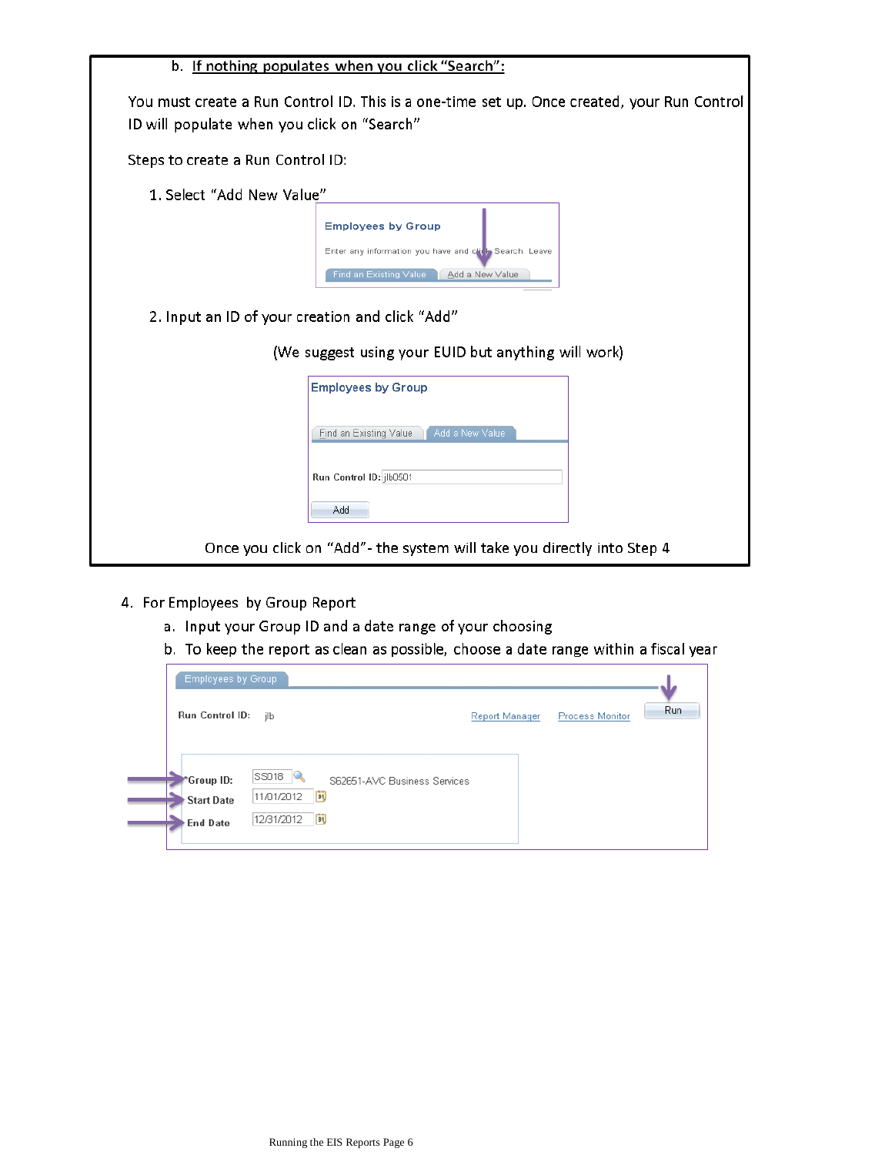|                                                 | b. If nothing populates when you click "Search":                                                                                                                                        |
|-------------------------------------------------|-----------------------------------------------------------------------------------------------------------------------------------------------------------------------------------------|
| ID will populate when you click on "Search"     | You must create a Run Control ID. This is a one-time set up. Once created, your Run Control                                                                                             |
| Steps to create a Run Control ID:               |                                                                                                                                                                                         |
| 1. Select "Add New Value"                       |                                                                                                                                                                                         |
| 2. Input an ID of your creation and click "Add" | <b>Employees by Group</b><br>Enter any information you have and clink Search. Leave<br>Find an Existing Value<br>Add a New Value<br>(We suggest using your EUID but anything will work) |
|                                                 | <b>Employees by Group</b>                                                                                                                                                               |
|                                                 | Add a New Value<br>Find an Existing Value<br>Run Control ID: jlb0501                                                                                                                    |
|                                                 | Add                                                                                                                                                                                     |
|                                                 | Once you click on "Add"- the system will take you directly into Step 4                                                                                                                  |

- 4. For Employees by Group Report
	- a. Input your Group ID and a date range of your choosing
	- b. To keep the report as clean as possible, choose a date range within a fiscal year

|                                                    | <b>Employees by Group</b>                                                             |                |                               |
|----------------------------------------------------|---------------------------------------------------------------------------------------|----------------|-------------------------------|
|                                                    | Run Control ID:<br>ilb                                                                | Report Manager | Run<br><b>Process Monitor</b> |
| *Group ID:<br><b>Start Date</b><br><b>End Date</b> | $ $ SS018 $ $<br>S62651-AVC Business Services<br>11/01/2012<br>B1<br>12/31/2012<br>B1 |                |                               |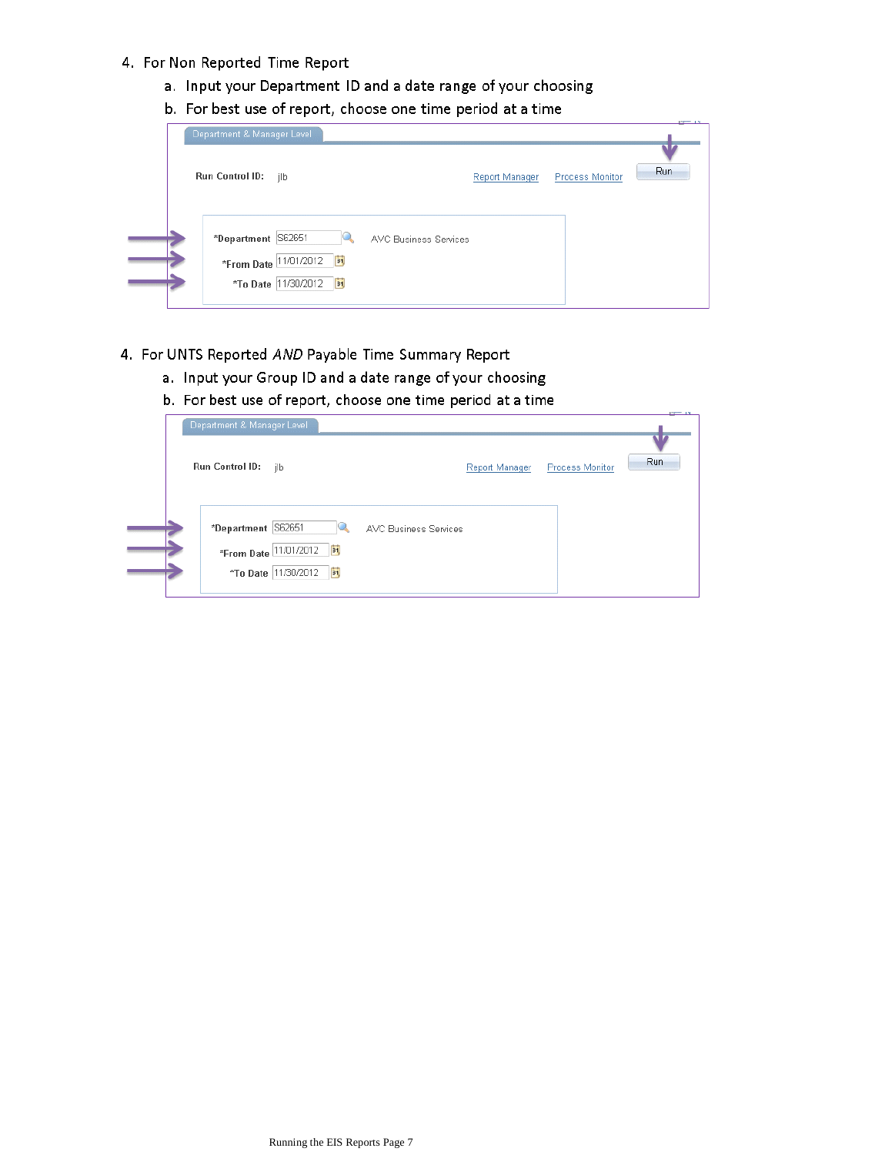### 4. For Non Reported Time Report

- a. Input your Department ID and a date range of your choosing
- b. For best use of report, choose one time period at a time

| Department & Manager Level |                                                 |                              |                |                        |     |
|----------------------------|-------------------------------------------------|------------------------------|----------------|------------------------|-----|
| Run Control ID:            | jlb                                             |                              | Report Manager | <b>Process Monitor</b> | Run |
| *Department S62651         | *From Date 11/01/2012<br>*To Date 11/30/2012 31 | <b>AVC Business Services</b> |                |                        |     |

- 4. For UNTS Reported AND Payable Time Summary Report
	- a. Input your Group ID and a date range of your choosing
	- b. For best use of report, choose one time period at a time

| Department & Manager Level |                                                          |                              |                |                        |                       |
|----------------------------|----------------------------------------------------------|------------------------------|----------------|------------------------|-----------------------|
| Run Control ID:            | ilb                                                      |                              | Report Manager | <b>Process Monitor</b> | $\blacksquare$<br>Run |
| *Department S62651         | 31<br>*From Date 11/01/2012<br>B1<br>*To Date 11/30/2012 | <b>AVC Business Services</b> |                |                        |                       |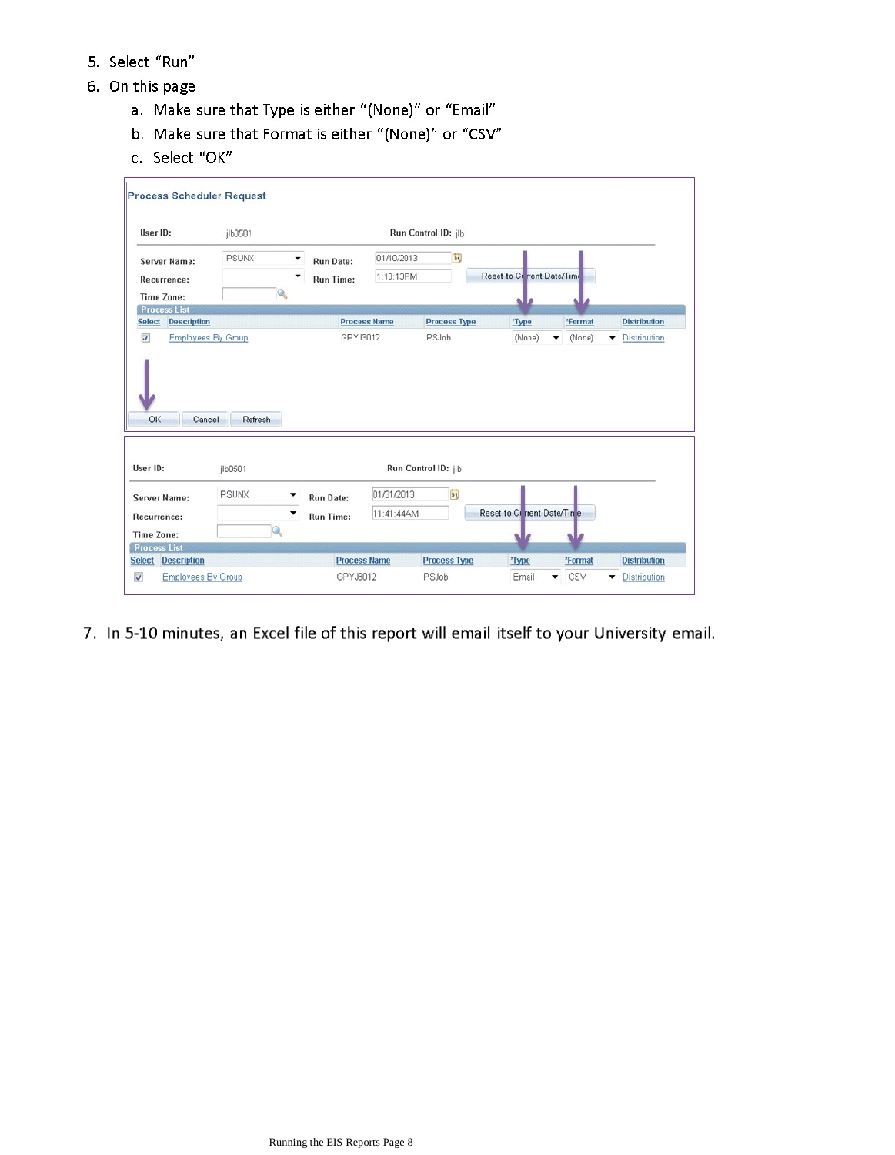- 5. Select "Run"
- 6. On this page
	- a. Make sure that Type is either "(None)" or "Email"
	- b. Make sure that Format is either "(None)" or "CSV"
	- c. Select "OK"

| User ID:                                                                                                                   | jlb0501            | Run Control ID: jlb |                     |                     |                              |         |                     |  |
|----------------------------------------------------------------------------------------------------------------------------|--------------------|---------------------|---------------------|---------------------|------------------------------|---------|---------------------|--|
| Server Name:                                                                                                               | <b>PSUNX</b><br>▼  | Run Date:           | 01/10/2013          | $\mathbf{u}$        |                              |         |                     |  |
| Recurrence:                                                                                                                |                    | <b>Run Time:</b>    | 1:10:13PM           |                     | Reset to Current Date/Time   |         |                     |  |
| <b>Time Zone:</b>                                                                                                          | $\mathbf Q$        |                     |                     |                     |                              |         |                     |  |
| <b>Process List</b>                                                                                                        |                    |                     |                     |                     |                              |         |                     |  |
| <b>Description</b><br><b>Select</b>                                                                                        |                    |                     | <b>Process Name</b> | <b>Process Type</b> | "Type                        | 'Format | <b>Distribution</b> |  |
|                                                                                                                            |                    |                     |                     |                     |                              |         |                     |  |
| OK<br>Cancel                                                                                                               | Refresh<br>jlb0501 |                     |                     | Run Control ID: jlb |                              |         |                     |  |
|                                                                                                                            |                    |                     |                     |                     |                              |         |                     |  |
|                                                                                                                            | <b>PSUNX</b><br>▼  | <b>Run Date:</b>    | 01/31/2013          | 31                  |                              |         |                     |  |
|                                                                                                                            | ▼                  | <b>Run Time:</b>    | 11:41:44AM          |                     | Reset to Cr rrent Date/Tin e |         |                     |  |
|                                                                                                                            |                    |                     |                     |                     |                              |         |                     |  |
| User ID:<br>Server Name:<br>Recurrence:<br><b>Time Zone:</b><br><b>Process List</b><br><b>Description</b><br><b>Select</b> |                    | <b>Process Name</b> |                     | <b>Process Type</b> | "Type                        | *Format | <b>Distribution</b> |  |

7. In 5-10 minutes, an Excel file of this report will email itself to your University email.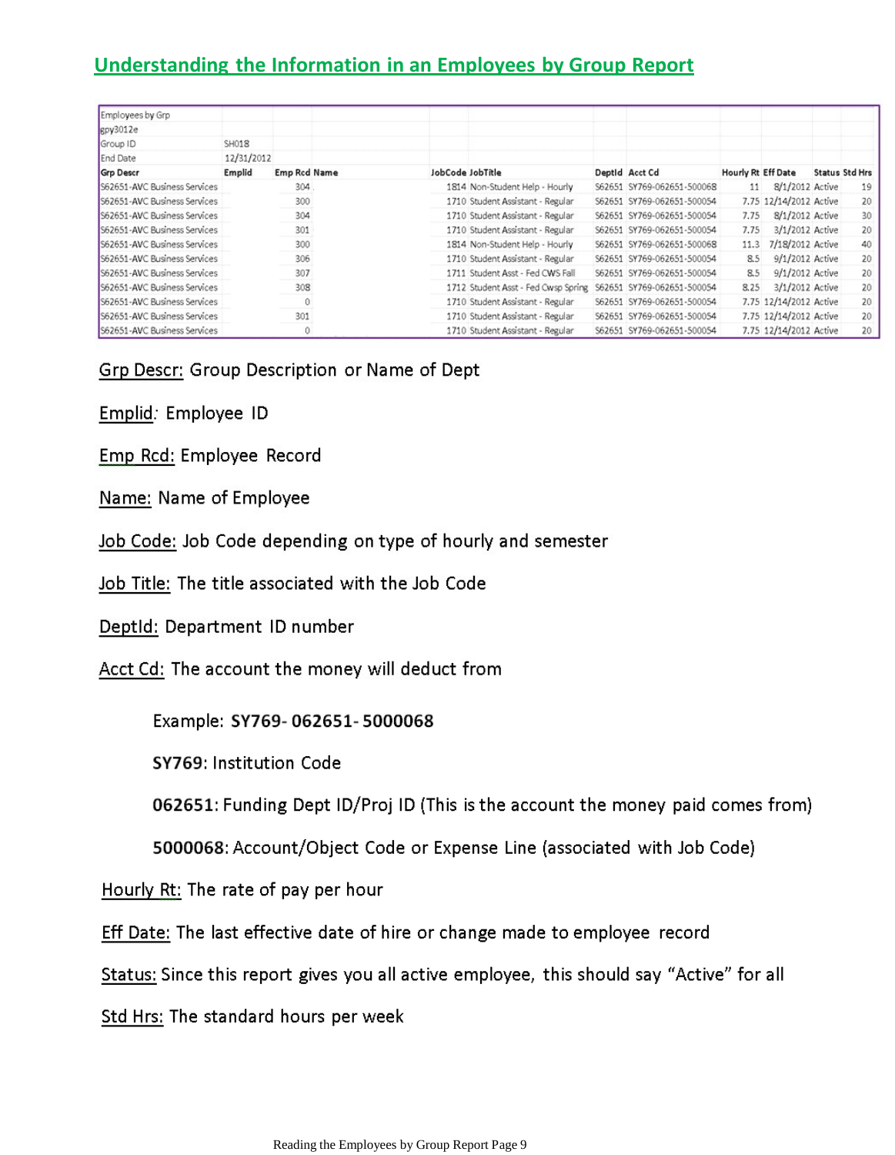# Understanding the Information in an Employees by Group Report

| Employees by Grp             |            |                     |                  |                                     |                            |                    |                        |                       |
|------------------------------|------------|---------------------|------------------|-------------------------------------|----------------------------|--------------------|------------------------|-----------------------|
| gpy3012e                     |            |                     |                  |                                     |                            |                    |                        |                       |
| Group ID                     | SH018      |                     |                  |                                     |                            |                    |                        |                       |
| End Date                     | 12/31/2012 |                     |                  |                                     |                            |                    |                        |                       |
| <b>Grp Descr</b>             | Emplid     | <b>Emp Rcd Name</b> | JobCode JobTitle |                                     | Deptld Acct Cd             | Hourly Rt Eff Date |                        | <b>Status Std Hrs</b> |
| S62651-AVC Business Services |            | 304                 |                  | 1814 Non-Student Help - Hourly      | S62651 SY769-062651-500068 | 11                 | 8/1/2012 Active        | 19                    |
| S62651-AVC Business Services |            | 300                 |                  | 1710 Student Assistant - Regular    | S62651 SY769-062651-500054 |                    | 7.75 12/14/2012 Active | 20                    |
| S62651-AVC Business Services |            | 304                 |                  | 1710 Student Assistant - Regular    | S62651 SY769-062651-500054 | 7.75               | 8/1/2012 Active        | 30                    |
| S62651-AVC Business Services |            | 301                 |                  | 1710 Student Assistant - Regular    | S62651 SY769-062651-500054 | 7.75               | 3/1/2012 Active        | 20                    |
| S62651-AVC Business Services |            | 300                 |                  | 1814 Non-Student Help - Hourly      | S62651 SY769-062651-500068 | 11.3               | 7/18/2012 Active       | 40                    |
| S62651-AVC Business Services |            | 306                 |                  | 1710 Student Assistant - Regular    | S62651 SY769-062651-500054 | 8.5                | 9/1/2012 Active        | 20                    |
| S62651-AVC Business Services |            | 307                 |                  | 1711 Student Asst - Fed CWS Fall    | S62651 SY769-062651-500054 | 8.5                | 9/1/2012 Active        | 20                    |
| S62651-AVC Business Services |            | 308                 |                  | 1712 Student Asst - Fed Cwsp Spring | S62651 SY769-062651-500054 | 8.25               | 3/1/2012 Active        | 20                    |
| S62651-AVC Business Services |            | 0                   |                  | 1710 Student Assistant - Regular    | S62651 SY769-062651-500054 |                    | 7.75 12/14/2012 Active | 20                    |
| S62651-AVC Business Services |            | 301                 |                  | 1710 Student Assistant - Regular    | S62651 SY769-062651-500054 |                    | 7.75 12/14/2012 Active | 20                    |
| S62651-AVC Business Services |            |                     |                  | 1710 Student Assistant - Regular    | S62651 SY769-062651-500054 |                    | 7.75 12/14/2012 Active | 20                    |

Grp Descr: Group Description or Name of Dept

Emplid: Employee ID

Emp Rcd: Employee Record

Name: Name of Employee

Job Code: Job Code depending on type of hourly and semester

Job Title: The title associated with the Job Code

Deptid: Department ID number

Acct Cd: The account the money will deduct from

Example: SY769-062651-5000068

SY769: Institution Code

062651: Funding Dept ID/Proj ID (This is the account the money paid comes from)

5000068: Account/Object Code or Expense Line (associated with Job Code)

Hourly Rt: The rate of pay per hour

Eff Date: The last effective date of hire or change made to employee record

Status: Since this report gives you all active employee, this should say "Active" for all

Std Hrs: The standard hours per week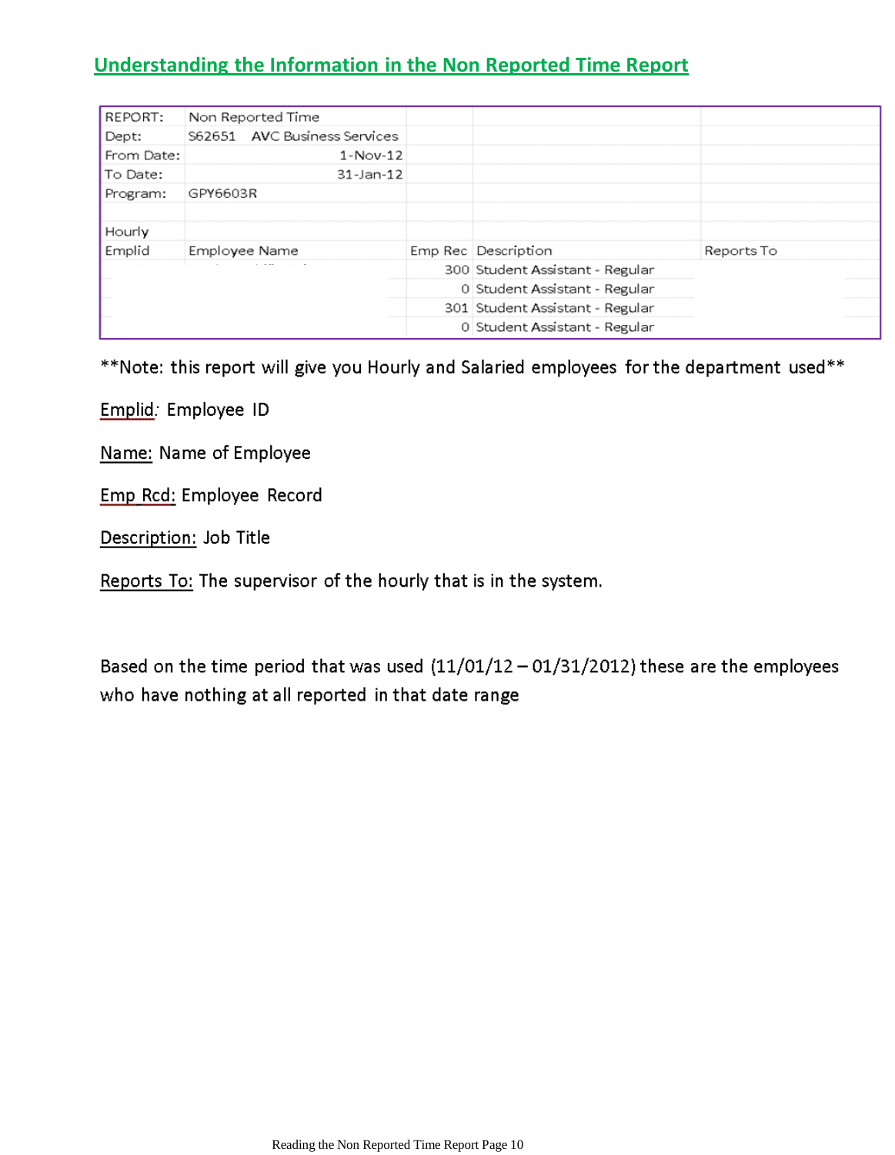## Understanding the Information in the Non Reported Time Report

| REPORT:    | Non Reported Time            |                                 |            |
|------------|------------------------------|---------------------------------|------------|
| Dept:      | S62651 AVC Business Services |                                 |            |
| From Date: | $1-Nov-12$                   |                                 |            |
| To Date:   | 31-Jan-12                    |                                 |            |
| Program:   | GPY6603R                     |                                 |            |
|            |                              |                                 |            |
| Hourly     |                              |                                 |            |
| Emplid     | Employee Name                | Emp Rec Description             | Reports To |
|            |                              | 300 Student Assistant - Regular |            |
|            |                              | 0 Student Assistant - Regular   |            |
|            |                              | 301 Student Assistant - Regular |            |
|            |                              | 0 Student Assistant - Regular   |            |

\*\*Note: this report will give you Hourly and Salaried employees for the department used\*\*

Emplid: Employee ID

Name: Name of Employee

Emp Rcd: Employee Record

Description: Job Title

Reports To: The supervisor of the hourly that is in the system.

Based on the time period that was used  $(11/01/12 - 01/31/2012)$  these are the employees who have nothing at all reported in that date range